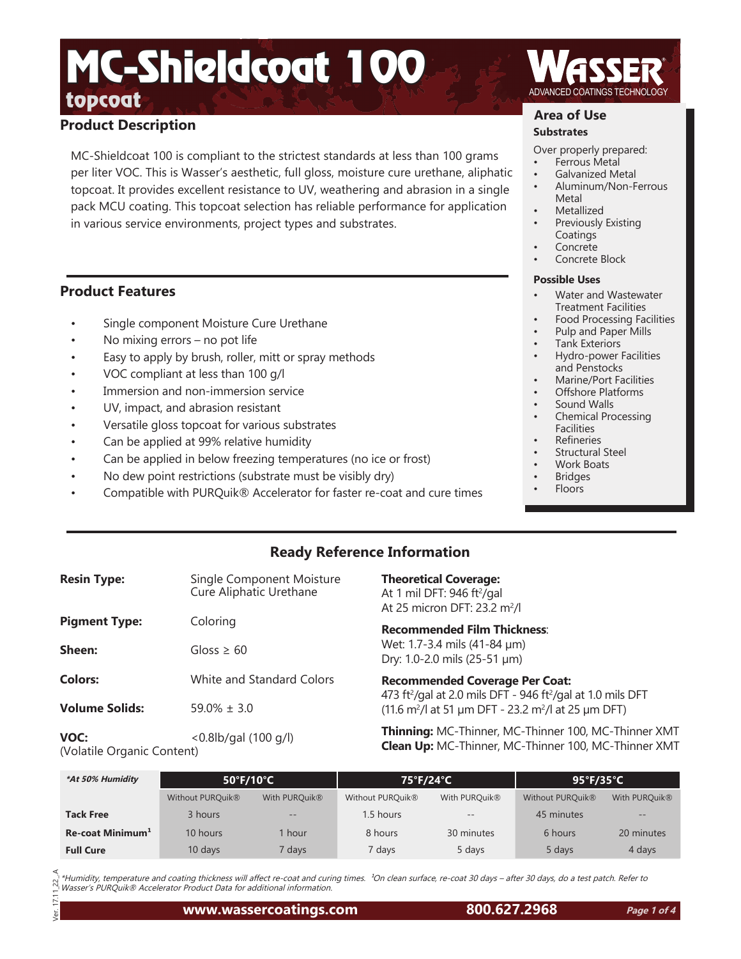# **Product Description**

MC-Shieldcoat 100 is compliant to the strictest standards at less than 100 grams per liter VOC. This is Wasser's aesthetic, full gloss, moisture cure urethane, aliphatic topcoat. It provides excellent resistance to UV, weathering and abrasion in a single pack MCU coating. This topcoat selection has reliable performance for application in various service environments, project types and substrates.

## **Product Features**

- Single component Moisture Cure Urethane
- No mixing errors no pot life
- Easy to apply by brush, roller, mitt or spray methods
- VOC compliant at less than 100 g/l
- Immersion and non-immersion service
- UV, impact, and abrasion resistant
- Versatile gloss topcoat for various substrates
- Can be applied at 99% relative humidity
- Can be applied in below freezing temperatures (no ice or frost)
- No dew point restrictions (substrate must be visibly dry)
- Compatible with PURQuik® Accelerator for faster re-coat and cure times

# **Area of Use**

## **Substrates**

Over properly prepared:

- Ferrous Metal
- Galvanized Metal
- Aluminum/Non-Ferrous Metal
- **Metallized**
- Previously Existing **Coatings**
- **Concrete**
- Concrete Block

#### **Possible Uses**

- Water and Wastewater Treatment Facilities
- Food Processing Facilities
- Pulp and Paper Mills
- Tank Exteriors • Hydro-power Facilities and Penstocks
- Marine/Port Facilities
- Offshore Platforms
- Sound Walls
- Chemical Processing Facilities
- **Refineries**
- Structural Steel
- Work Boats
- **Bridges** • Floors

# **Ready Reference Information**

| <b>Resin Type:</b>    | Single Component Moisture<br>Cure Aliphatic Urethane | <b>Theoretical Co</b><br>At 1 mil DFT: 9<br>At 25 micron D  |
|-----------------------|------------------------------------------------------|-------------------------------------------------------------|
| <b>Pigment Type:</b>  | Coloring                                             | Recommende                                                  |
| Sheen:                | Gloss $\geq 60$                                      | Wet: 1.7-3.4 m<br>Dry: 1.0-2.0 mi                           |
| <b>Colors:</b>        | White and Standard Colors                            | Recommende                                                  |
| <b>Volume Solids:</b> | $59.0\% \pm 3.0$                                     | 473 ft <sup>2</sup> /gal at 2<br>$(11.6 \text{ m}^2)$ at 51 |
|                       |                                                      | <b>Thinning:</b> MC                                         |

**VOC:** <0.8lb/gal (100 g/l) (Volatile Organic Content)

**overage:** At 1 mil DFT: 946 ft²/gal At 25 micron DFT: 23.2 m<sup>2</sup>/l

**Recommended Film Thickness**: ils (41-84 µm) ls (25-51 µm)

**Red Coverage Per Coat:** /gal at 2.0 mils DFT - 946 ft²/gal at 1.0 mils DFT /l at 51 µm DFT - 23.2 m2 /l at 25 µm DFT)

**Thinning:** MC-Thinner, MC-Thinner 100, MC-Thinner XMT **Clean Up:** MC-Thinner, MC-Thinner 100, MC-Thinner XMT

| *At 50% Humidity             | $50^{\circ}$ F/10 $^{\circ}$ C |                   | 75°F/24°C                    |                           | $95^{\circ}$ F/35 $^{\circ}$ C |                           |
|------------------------------|--------------------------------|-------------------|------------------------------|---------------------------|--------------------------------|---------------------------|
|                              | Without PURQuik <sup>®</sup>   | With PURQuik®     | Without PURQuik <sup>®</sup> | With PURQuik <sup>®</sup> | Without PURQuik <sup>®</sup>   | With PURQuik <sup>®</sup> |
| <b>Tack Free</b>             | 3 hours                        | $\qquad \qquad -$ | 1.5 hours                    | $\qquad \qquad -$         | 45 minutes                     | $\qquad \qquad -$         |
| Re-coat Minimum <sup>1</sup> | 10 hours                       | hour              | 8 hours                      | 30 minutes                | 6 hours                        | 20 minutes                |
| <b>Full Cure</b>             | $10$ days                      | days <sup>7</sup> | 7 days                       | 5 days                    | 5 days                         | 4 days                    |

\*Humidity, temperature and coating thickness will affect re-coat and curing times. <sup>1</sup>On clean surface, re-coat 30 days – after 30 days, do a test patch. Refer to N \*Humidity, temperature and coating thickness will affect re-coat and curin<br>™ Wasser's PURQuik® Accelerator Product Data for additional information.

Ver. 17.11\_22\_.A  $\overline{a}$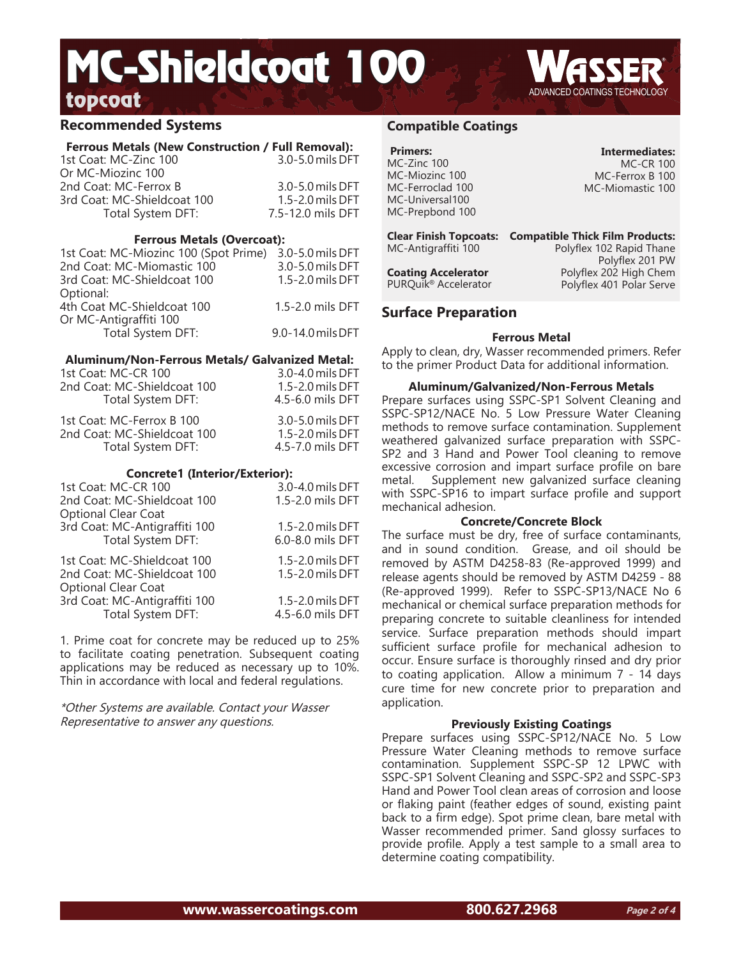## **Recommended Systems**

## **Ferrous Metals (New Construction / Full Removal):**

| 1st Coat: MC-Zinc 100       | 3.0-5.0 mils DFT  |
|-----------------------------|-------------------|
| Or MC-Miozinc 100           |                   |
| 2nd Coat: MC-Ferrox B       | 3.0-5.0 mils DFT  |
| 3rd Coat: MC-Shieldcoat 100 | 1.5-2.0 mils DFT  |
| Total System DFT:           | 7.5-12.0 mils DFT |
|                             |                   |

#### **Ferrous Metals (Overcoat):**

| 1st Coat: MC-Miozinc 100 (Spot Prime) | 3.0-5.0 mils DFT  |
|---------------------------------------|-------------------|
| 2nd Coat: MC-Miomastic 100            | 3.0-5.0 mils DFT  |
| 3rd Coat: MC-Shieldcoat 100           | 1.5-2.0 mils DFT  |
| Optional:                             |                   |
| 4th Coat MC-Shieldcoat 100            | 1.5-2.0 mils DFT  |
| Or MC-Antigraffiti 100                |                   |
| Total System DFT:                     | 9.0-14.0 mils DFT |
|                                       |                   |

### **Aluminum/Non-Ferrous Metals/ Galvanized Metal:**

| 1st Coat: MC-CR 100         | 3.0-4.0 mils DFT     |
|-----------------------------|----------------------|
| 2nd Coat: MC-Shieldcoat 100 | $1.5 - 2.0$ mils DFT |
| Total System DFT:           | 4.5-6.0 mils DFT     |
| 1st Coat: MC-Ferrox B 100   | 3.0-5.0 mils DFT     |
| 2nd Coat: MC-Shieldcoat 100 | $1.5 - 2.0$ mils DFT |
| Total System DFT:           | 4.5-7.0 mils DFT     |
|                             |                      |

### **Concrete1 (Interior/Exterior):**

| 1st Coat: MC-CR 100<br>2nd Coat: MC-Shieldcoat 100<br><b>Optional Clear Coat</b>         | 3.0-4.0 mils DFT<br>1.5-2.0 mils DFT |
|------------------------------------------------------------------------------------------|--------------------------------------|
| 3rd Coat: MC-Antigraffiti 100                                                            | 1.5-2.0 mils DFT                     |
| Total System DFT:                                                                        | 6.0-8.0 mils DFT                     |
| 1st Coat: MC-Shieldcoat 100<br>2nd Coat: MC-Shieldcoat 100<br><b>Optional Clear Coat</b> | 1.5-2.0 mils DFT<br>1.5-2.0 mils DFT |
| 3rd Coat: MC-Antigraffiti 100                                                            | 1.5-2.0 mils DFT                     |
| Total System DFT:                                                                        | 4.5-6.0 mils DFT                     |

1. Prime coat for concrete may be reduced up to 25% to facilitate coating penetration. Subsequent coating applications may be reduced as necessary up to 10%. Thin in accordance with local and federal regulations.

\*Other Systems are available. Contact your Wasser Representative to answer any questions.

## **Compatible Coatings**

| <b>Primers:</b>  |
|------------------|
| MC-Zinc 100      |
| MC-Miozinc 100   |
| MC-Ferroclad 100 |
| MC-Universal100  |
| MC-Prepbond 100  |

**Intermediates:** MC-CR 100 MC-Ferrox B 100 MC-Miomastic 100

**Clear Finish Topcoats: Compatible Thick Film Products:** MC-Antigraffiti 100

Polyflex 102 Rapid Thane Polyflex 201 PW Polyflex 202 High Chem Polyflex 401 Polar Serve

## **Surface Preparation**

**Coating Accelerator** PURQuik® Accelerator

### **Ferrous Metal**

Apply to clean, dry, Wasser recommended primers. Refer to the primer Product Data for additional information.

### **Aluminum/Galvanized/Non-Ferrous Metals**

Prepare surfaces using SSPC-SP1 Solvent Cleaning and SSPC-SP12/NACE No. 5 Low Pressure Water Cleaning methods to remove surface contamination. Supplement weathered galvanized surface preparation with SSPC-SP2 and 3 Hand and Power Tool cleaning to remove excessive corrosion and impart surface profile on bare metal. Supplement new galvanized surface cleaning with SSPC-SP16 to impart surface profile and support mechanical adhesion.

## **Concrete/Concrete Block**

The surface must be dry, free of surface contaminants, and in sound condition. Grease, and oil should be removed by ASTM D4258-83 (Re-approved 1999) and release agents should be removed by ASTM D4259 - 88 (Re-approved 1999). Refer to SSPC-SP13/NACE No 6 mechanical or chemical surface preparation methods for preparing concrete to suitable cleanliness for intended service. Surface preparation methods should impart sufficient surface profile for mechanical adhesion to occur. Ensure surface is thoroughly rinsed and dry prior to coating application. Allow a minimum 7 - 14 days cure time for new concrete prior to preparation and application.

### **Previously Existing Coatings**

Prepare surfaces using SSPC-SP12/NACE No. 5 Low Pressure Water Cleaning methods to remove surface contamination. Supplement SSPC-SP 12 LPWC with SSPC-SP1 Solvent Cleaning and SSPC-SP2 and SSPC-SP3 Hand and Power Tool clean areas of corrosion and loose or flaking paint (feather edges of sound, existing paint back to a firm edge). Spot prime clean, bare metal with Wasser recommended primer. Sand glossy surfaces to provide profile. Apply a test sample to a small area to determine coating compatibility.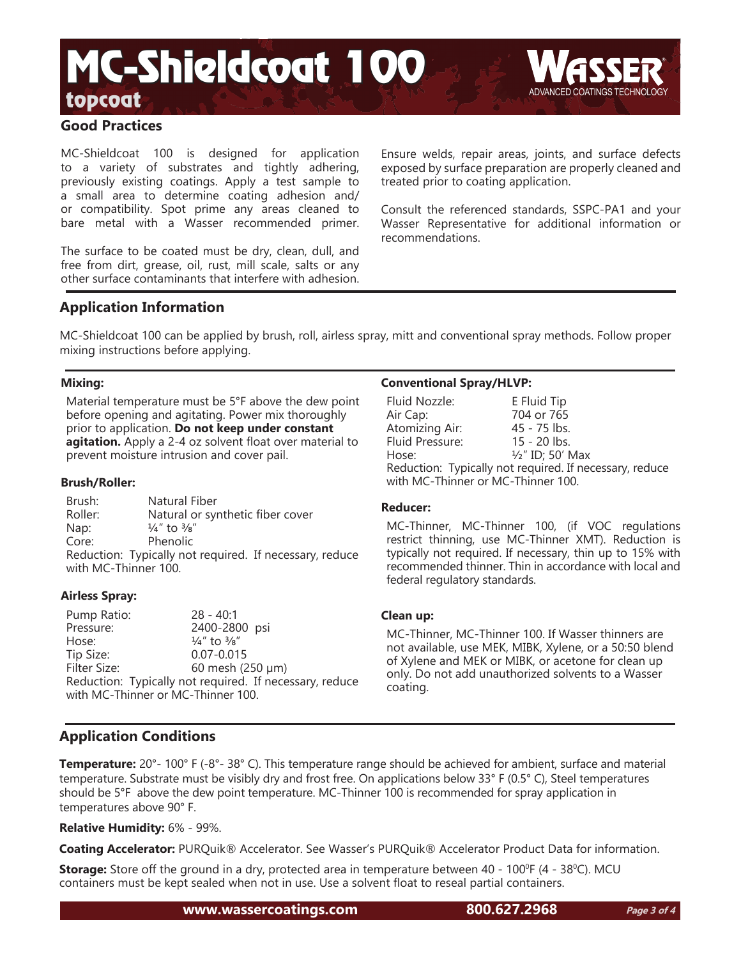## **Good Practices**

MC-Shieldcoat 100 is designed for application to a variety of substrates and tightly adhering, previously existing coatings. Apply a test sample to a small area to determine coating adhesion and/ or compatibility. Spot prime any areas cleaned to bare metal with a Wasser recommended primer.

The surface to be coated must be dry, clean, dull, and free from dirt, grease, oil, rust, mill scale, salts or any other surface contaminants that interfere with adhesion.

Ensure welds, repair areas, joints, and surface defects exposed by surface preparation are properly cleaned and treated prior to coating application.

Consult the referenced standards, SSPC-PA1 and your Wasser Representative for additional information or recommendations.

## **Application Information**

MC-Shieldcoat 100 can be applied by brush, roll, airless spray, mitt and conventional spray methods. Follow proper mixing instructions before applying.

## **Mixing:**

Material temperature must be 5°F above the dew point before opening and agitating. Power mix thoroughly prior to application. **Do not keep under constant agitation.** Apply a 2-4 oz solvent float over material to prevent moisture intrusion and cover pail.

## **Brush/Roller:**

Brush: Natural Fiber Roller: Natural or synthetic fiber cover Nap:  $\frac{1}{4}$ " to  $\frac{3}{8}$ "<br>Core: Phenolic Phenolic Reduction: Typically not required. If necessary, reduce with MC-Thinner 100.

## **Airless Spray:**

Pump Ratio: 28 - 40:1 2400-2800 psi Hose:  $\frac{1}{4}$ " to  $\frac{3}{8}$ " Tip Size: 0.07-0.015 Filter Size: 60 mesh (250 μm) Reduction: Typically not required. If necessary, reduce with MC-Thinner or MC-Thinner 100.

## **Conventional Spray/HLVP:**

| Fluid Nozzle:                                           | E Fluid Tip                 |  |
|---------------------------------------------------------|-----------------------------|--|
| Air Cap:                                                | 704 or 765                  |  |
| Atomizing Air:                                          | 45 - 75 lbs.                |  |
| Fluid Pressure:                                         | $15 - 20$ lbs.              |  |
| Hose:                                                   | $\frac{1}{2}$ " ID; 50' Max |  |
| Reduction: Typically not required. If necessary, reduce |                             |  |
| with MC-Thinner or MC-Thinner 100.                      |                             |  |

### **Reducer:**

MC-Thinner, MC-Thinner 100, (if VOC regulations restrict thinning, use MC-Thinner XMT). Reduction is typically not required. If necessary, thin up to 15% with recommended thinner. Thin in accordance with local and federal regulatory standards.

### **Clean up:**

MC-Thinner, MC-Thinner 100. If Wasser thinners are not available, use MEK, MIBK, Xylene, or a 50:50 blend of Xylene and MEK or MIBK, or acetone for clean up only. Do not add unauthorized solvents to a Wasser coating.

## **Application Conditions**

**Temperature:** 20°- 100° F (-8°- 38° C). This temperature range should be achieved for ambient, surface and material temperature. Substrate must be visibly dry and frost free. On applications below 33° F (0.5° C), Steel temperatures should be 5°F above the dew point temperature. MC-Thinner 100 is recommended for spray application in temperatures above 90° F.

## **Relative Humidity:** 6% - 99%.

**Coating Accelerator:** PURQuik® Accelerator. See Wasser's PURQuik® Accelerator Product Data for information.

**Storage:** Store off the ground in a dry, protected area in temperature between 40 - 100<sup>o</sup>F (4 - 38<sup>o</sup>C). MCU containers must be kept sealed when not in use. Use a solvent float to reseal partial containers.

**www.wassercoatings.com 800.627.2968**